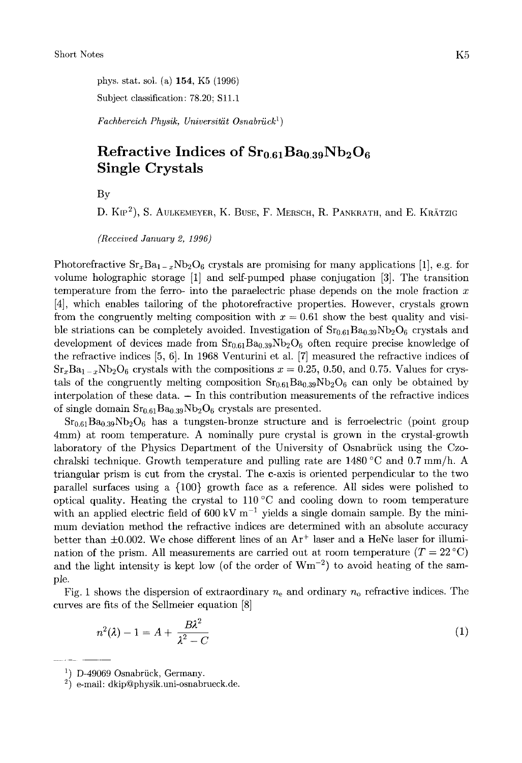phys. stat. sol. (a) **154,** K5 (1996) Subject classification: 78.20; S1l.l

*Fachbereich Physik, Universitiit Osnabriick')* 

## **Refractive Indices of**  $Sr<sub>0.61</sub>Ba<sub>0.39</sub>Nb<sub>2</sub>O<sub>6</sub>$ **Single Crystals**

BY

D. KIP<sup>2</sup>), S. AULKEMEYER, K. BUSE, F. MERSCH, R. PANKRATH, and E. KRÄTZIG

*(Received January 2, 1996)* 

Photorefractive  $Sr_xBa_{1-x}Nb_2O_6$  crystals are promising for many applications [1], e.g. for volume holographic storage [l] and self-pumped phase conjugation **[3].** The transition temperature from the ferro- into the paraelectric phase depends on the mole fraction  $x$ [4], which enables tailoring of the photorefractive properties. However, crystals grown from the congruently melting composition with  $x = 0.61$  show the best quality and visible striations can be completely avoided. Investigation of  $Sr<sub>0.61</sub>Ba<sub>0.39</sub>Nb<sub>2</sub>O<sub>6</sub>$  crystals and development of devices made from  $Sr_{0.61}Ba_{0.39}Nb_2O_6$  often require precise knowledge of the refractive indices *[5,* 61. In 1968 Venturini et al. [7] measured the refractive indices of  $Sr_xBa_{1-x}Nb_2O_6$  crystals with the compositions  $x = 0.25, 0.50,$  and 0.75. Values for crystals of the congruently melting composition  $Sr_{0.61}Ba_{0.39}Nb_2O_6$  can only be obtained by interpolation of these data.  $-$  In this contribution measurements of the refractive indices of single domain  $Sr<sub>0.61</sub>Ba<sub>0.39</sub>Nb<sub>2</sub>O<sub>6</sub>$  crystals are presented.

 $Sr<sub>0.61</sub>Ba<sub>0.39</sub>Nb<sub>2</sub>O<sub>6</sub>$  has a tungsten-bronze structure and is ferroelectric (point group 4mm) at room temperature. A nominally pure crystal is grown in the crystal-growth laboratory of the Physics Department of the University of Osnabrück using the Czochralski technique. Growth temperature and pulling rate are 1480 "C and 0.7 mm/h. A triangular prism is cut from the crystal. The c-axis is oriented perpendicular to the two parallel surfaces using a (100) growth face as a reference. All sides were polished to optical quality. Heating the crystal to 110°C and cooling down to room temperature with an applied electric field of 600 kV  $m^{-1}$  yields a single domain sample. By the minimum deviation method the refractive indices are determined with an absolute accuracy better than  $\pm 0.002$ . We chose different lines of an Ar<sup>+</sup> laser and a HeNe laser for illumination of the prism. All measurements are carried out at room temperature  $(T = 22 \degree C)$ and the light intensity is kept low (of the order of  $Wm^{-2}$ ) to avoid heating of the sample.

Fig. 1 shows the dispersion of extraordinary *ne* and ordinary *no* refractive indices. The curves are fits of the Sellmeier equation [8]

$$
n^2(\lambda) - 1 = A + \frac{B\lambda^2}{\lambda^2 - C} \tag{1}
$$

~ ~~ ~~

<sup>&</sup>lt;sup>1</sup>) D-49069 Osnabrück, Germany.

**<sup>2,</sup>** e-mail: **dkipQphysik.uni-osnabrueck.de.**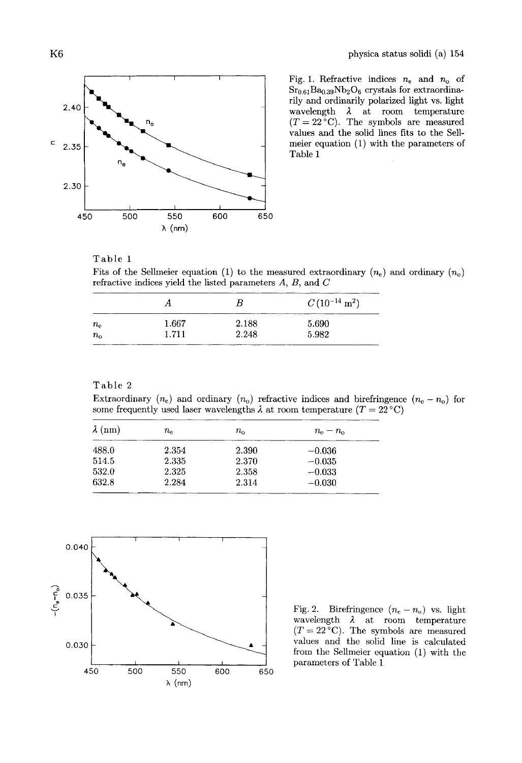

Fig. 1. Refractive indices  $n_e$  and  $n_o$  of  $Sr<sub>0.61</sub>Ba<sub>0.39</sub>Nb<sub>2</sub>O<sub>6</sub> crystals for extraordina$ rily and ordinarily polarized light vs. light wavelength  $\lambda$  at room temperature  $(T = 22^{\circ}$ C). The symbols are measured values and the solid lines fits to the Sellmeier equation (1) with the parameters of Table 1

## Table 1

Fits of the Sellmeier equation (1) to the measured extraordinary  $(n_e)$  and ordinary  $(n_o)$ refractive indices yield the listed parameters *A, B,* and *C* 

|             | Η     | В     | $C\, (10^{-14}~\mathrm{m}^2)$ |
|-------------|-------|-------|-------------------------------|
| $n_{\rm e}$ | 1.667 | 2.188 | 5.690                         |
| $n_{\rm o}$ | 1.711 | 2.248 | 5.982                         |

## Table 2

Extraordinary  $(n_e)$  and ordinary  $(n_o)$  refractive indices and birefringence  $(n_e - n_o)$  for some frequently used laser wavelengths  $\lambda$  at room temperature  $(T = 22 \degree C)$ 

| $\lambda$ (nm) | $n_{\rm e}$ | $n_{\alpha}$ | $n_{\rm e}-n_{\rm o}$ |  |
|----------------|-------------|--------------|-----------------------|--|
| 488.0          | 2.354       | 2.390        | $-0.036$              |  |
| 514.5          | 2.335       | 2.370        | $-0.035$              |  |
| 532.0          | 2.325       | 2.358        | $-0.033$              |  |
| 632.8          | 2.284       | 2.314        | $-0.030$              |  |



 $(T = 22 \degree C)$ . The symbols are measured values and the solid line is calculated from the Sellmeier equation **(1)** with the